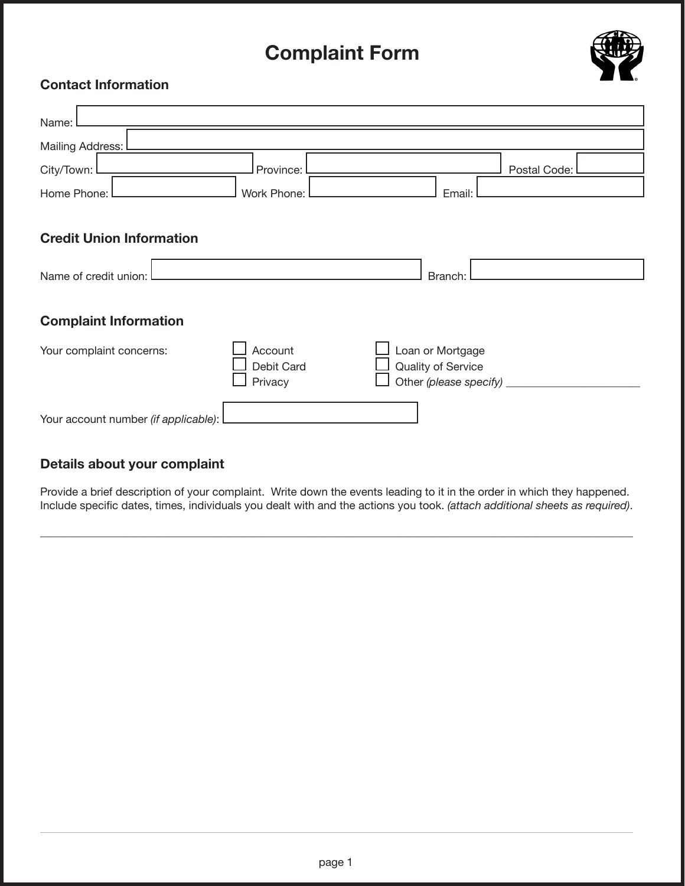## **Complaint Form**



## **Contact Information**

| Name:                                |                       |                                                        |
|--------------------------------------|-----------------------|--------------------------------------------------------|
| Mailing Address: I                   |                       |                                                        |
| City/Town:                           | Province:             | Postal Code:                                           |
| Home Phone:                          | Work Phone:           | Email:                                                 |
|                                      |                       |                                                        |
| <b>Credit Union Information</b>      |                       |                                                        |
| Name of credit union:                |                       | Branch:                                                |
|                                      |                       |                                                        |
| <b>Complaint Information</b>         |                       |                                                        |
| Your complaint concerns:             | Account               | Loan or Mortgage                                       |
|                                      | Debit Card<br>Privacy | Quality of Service<br>Other (please specify) _________ |
|                                      |                       |                                                        |
| Your account number (if applicable): |                       |                                                        |
|                                      |                       |                                                        |

## Details about your complaint

Provide a brief description of your complaint. Write down the events leading to it in the order in which they happened. Include specific dates, times, individuals you dealt with and the actions you took. (attach additional sheets as required).